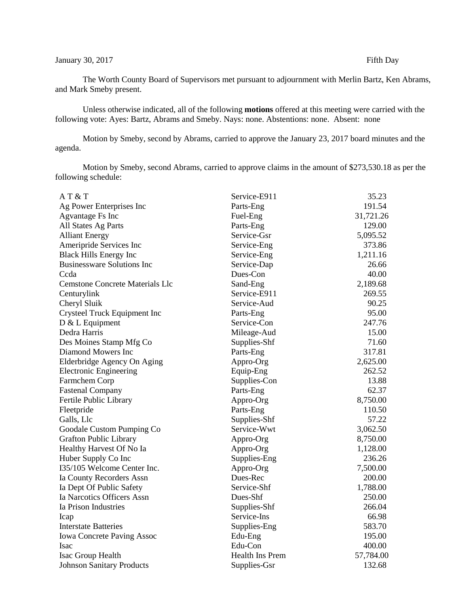## January 30, 2017 Fifth Day

The Worth County Board of Supervisors met pursuant to adjournment with Merlin Bartz, Ken Abrams, and Mark Smeby present.

Unless otherwise indicated, all of the following **motions** offered at this meeting were carried with the following vote: Ayes: Bartz, Abrams and Smeby. Nays: none. Abstentions: none. Absent: none

Motion by Smeby, second by Abrams, carried to approve the January 23, 2017 board minutes and the agenda.

Motion by Smeby, second Abrams, carried to approve claims in the amount of \$273,530.18 as per the following schedule:

| AT & T                                 | Service-E911           | 35.23     |
|----------------------------------------|------------------------|-----------|
| Ag Power Enterprises Inc               | Parts-Eng              | 191.54    |
| Agvantage Fs Inc                       | Fuel-Eng               | 31,721.26 |
| All States Ag Parts                    | Parts-Eng              | 129.00    |
| <b>Alliant Energy</b>                  | Service-Gsr            | 5,095.52  |
| Ameripride Services Inc                | Service-Eng            | 373.86    |
| <b>Black Hills Energy Inc</b>          | Service-Eng            | 1,211.16  |
| <b>Businessware Solutions Inc</b>      | Service-Dap            | 26.66     |
| Ccda                                   | Dues-Con               | 40.00     |
| <b>Cemstone Concrete Materials Llc</b> | Sand-Eng               | 2,189.68  |
| Centurylink                            | Service-E911           | 269.55    |
| Cheryl Sluik                           | Service-Aud            | 90.25     |
| Crysteel Truck Equipment Inc           | Parts-Eng              | 95.00     |
| $D & L$ Equipment                      | Service-Con            | 247.76    |
| Dedra Harris                           | Mileage-Aud            | 15.00     |
| Des Moines Stamp Mfg Co                | Supplies-Shf           | 71.60     |
| Diamond Mowers Inc                     | Parts-Eng              | 317.81    |
| Elderbridge Agency On Aging            | Appro-Org              | 2,625.00  |
| <b>Electronic Engineering</b>          | Equip-Eng              | 262.52    |
| Farmchem Corp                          | Supplies-Con           | 13.88     |
| <b>Fastenal Company</b>                | Parts-Eng              | 62.37     |
| Fertile Public Library                 | Appro-Org              | 8,750.00  |
| Fleetpride                             | Parts-Eng              | 110.50    |
| Galls, Llc                             | Supplies-Shf           | 57.22     |
| Goodale Custom Pumping Co              | Service-Wwt            | 3,062.50  |
| <b>Grafton Public Library</b>          | Appro-Org              | 8,750.00  |
| Healthy Harvest Of No Ia               | Appro-Org              | 1,128.00  |
| Huber Supply Co Inc                    | Supplies-Eng           | 236.26    |
| I35/105 Welcome Center Inc.            | Appro-Org              | 7,500.00  |
| Ia County Recorders Assn               | Dues-Rec               | 200.00    |
| Ia Dept Of Public Safety               | Service-Shf            | 1,788.00  |
| Ia Narcotics Officers Assn             | Dues-Shf               | 250.00    |
| Ia Prison Industries                   | Supplies-Shf           | 266.04    |
| Icap                                   | Service-Ins            | 66.98     |
| <b>Interstate Batteries</b>            | Supplies-Eng           | 583.70    |
| <b>Iowa Concrete Paving Assoc</b>      | Edu-Eng                | 195.00    |
| Isac                                   | Edu-Con                | 400.00    |
| Isac Group Health                      | <b>Health Ins Prem</b> | 57,784.00 |
| <b>Johnson Sanitary Products</b>       | Supplies-Gsr           | 132.68    |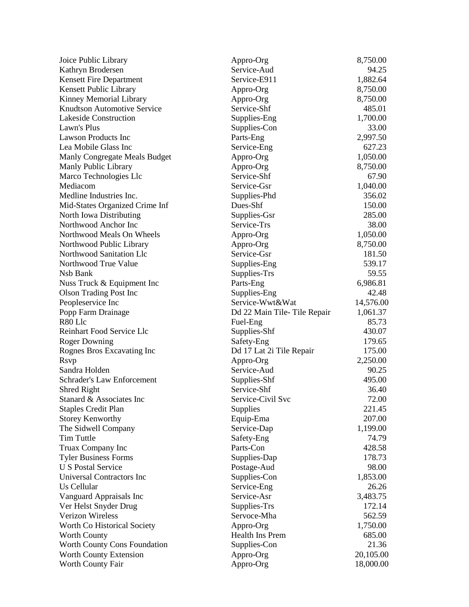| Joice Public Library                      | Appro-Org                   | 8,750.00  |
|-------------------------------------------|-----------------------------|-----------|
| Kathryn Brodersen                         | Service-Aud                 | 94.25     |
| Kensett Fire Department                   | Service-E911                | 1,882.64  |
| Kensett Public Library                    | Appro-Org                   | 8,750.00  |
| Kinney Memorial Library                   | Appro-Org                   | 8,750.00  |
| <b>Knudtson Automotive Service</b>        | Service-Shf                 | 485.01    |
| Lakeside Construction                     | Supplies-Eng                | 1,700.00  |
| Lawn's Plus                               | Supplies-Con                | 33.00     |
| Lawson Products Inc                       | Parts-Eng                   | 2,997.50  |
| Lea Mobile Glass Inc                      | Service-Eng                 | 627.23    |
| Manly Congregate Meals Budget             | Appro-Org                   | 1,050.00  |
| Manly Public Library                      | Appro-Org                   | 8,750.00  |
| Marco Technologies Llc                    | Service-Shf                 | 67.90     |
| Mediacom                                  | Service-Gsr                 | 1,040.00  |
| Medline Industries Inc.                   | Supplies-Phd                | 356.02    |
| Mid-States Organized Crime Inf            | Dues-Shf                    | 150.00    |
| North Iowa Distributing                   | Supplies-Gsr                | 285.00    |
| Northwood Anchor Inc                      | Service-Trs                 | 38.00     |
| Northwood Meals On Wheels                 | Appro-Org                   | 1,050.00  |
| Northwood Public Library                  | Appro-Org                   | 8,750.00  |
| Northwood Sanitation Llc                  | Service-Gsr                 | 181.50    |
| Northwood True Value                      | Supplies-Eng                | 539.17    |
| Nsb Bank                                  | Supplies-Trs                | 59.55     |
| Nuss Truck & Equipment Inc                | Parts-Eng                   | 6,986.81  |
| <b>Olson Trading Post Inc.</b>            | Supplies-Eng                | 42.48     |
| Peopleservice Inc                         | Service-Wwt&Wat             | 14,576.00 |
| Popp Farm Drainage                        | Dd 22 Main Tile-Tile Repair | 1,061.37  |
| R80 Llc                                   | Fuel-Eng                    | 85.73     |
| Reinhart Food Service Llc                 | Supplies-Shf                | 430.07    |
| <b>Roger Downing</b>                      | Safety-Eng                  | 179.65    |
| Rognes Bros Excavating Inc                | Dd 17 Lat 2i Tile Repair    | 175.00    |
| <b>R</b> svp                              | Appro-Org                   | 2,250.00  |
| Sandra Holden                             | Service-Aud                 | 90.25     |
| Schrader's Law Enforcement                | Supplies-Shf                | 495.00    |
| Shred Right                               | Service-Shf                 | 36.40     |
| Stanard & Associates Inc                  | Service-Civil Svc           | 72.00     |
| <b>Staples Credit Plan</b>                | <b>Supplies</b>             | 221.45    |
| <b>Storey Kenworthy</b>                   | Equip-Ema                   | 207.00    |
| The Sidwell Company                       | Service-Dap                 | 1,199.00  |
| Tim Tuttle                                | Safety-Eng                  | 74.79     |
| Truax Company Inc                         | Parts-Con                   | 428.58    |
| <b>Tyler Business Forms</b>               | Supplies-Dap                | 178.73    |
| <b>U S Postal Service</b>                 | Postage-Aud                 | 98.00     |
| Universal Contractors Inc                 | Supplies-Con                | 1,853.00  |
| Us Cellular                               | Service-Eng                 | 26.26     |
| Vanguard Appraisals Inc                   | Service-Asr                 | 3,483.75  |
|                                           |                             | 172.14    |
| Ver Helst Snyder Drug<br>Verizon Wireless | Supplies-Trs<br>Servoce-Mha | 562.59    |
|                                           |                             |           |
| Worth Co Historical Society               | Appro-Org                   | 1,750.00  |
| <b>Worth County</b>                       | Health Ins Prem             | 685.00    |
| Worth County Cons Foundation              | Supplies-Con                | 21.36     |
| Worth County Extension                    | Appro-Org                   | 20,105.00 |
| Worth County Fair                         | Appro-Org                   | 18,000.00 |